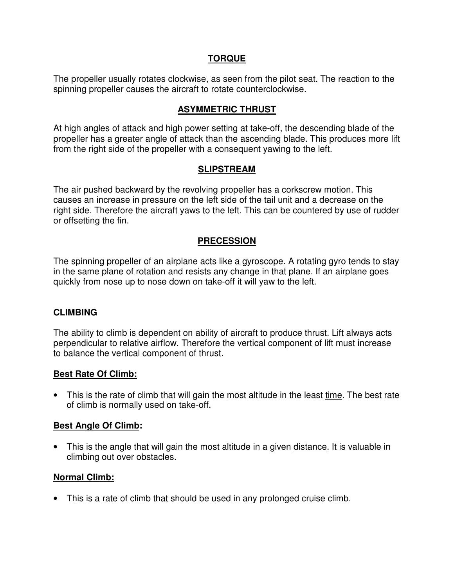## **TORQUE**

The propeller usually rotates clockwise, as seen from the pilot seat. The reaction to the spinning propeller causes the aircraft to rotate counterclockwise.

## **ASYMMETRIC THRUST**

At high angles of attack and high power setting at take-off, the descending blade of the propeller has a greater angle of attack than the ascending blade. This produces more lift from the right side of the propeller with a consequent yawing to the left.

### **SLIPSTREAM**

The air pushed backward by the revolving propeller has a corkscrew motion. This causes an increase in pressure on the left side of the tail unit and a decrease on the right side. Therefore the aircraft yaws to the left. This can be countered by use of rudder or offsetting the fin.

# **PRECESSION**

The spinning propeller of an airplane acts like a gyroscope. A rotating gyro tends to stay in the same plane of rotation and resists any change in that plane. If an airplane goes quickly from nose up to nose down on take-off it will yaw to the left.

### **CLIMBING**

The ability to climb is dependent on ability of aircraft to produce thrust. Lift always acts perpendicular to relative airflow. Therefore the vertical component of lift must increase to balance the vertical component of thrust.

### **Best Rate Of Climb:**

• This is the rate of climb that will gain the most altitude in the least time. The best rate of climb is normally used on take-off.

### **Best Angle Of Climb:**

• This is the angle that will gain the most altitude in a given distance. It is valuable in climbing out over obstacles.

# **Normal Climb:**

• This is a rate of climb that should be used in any prolonged cruise climb.